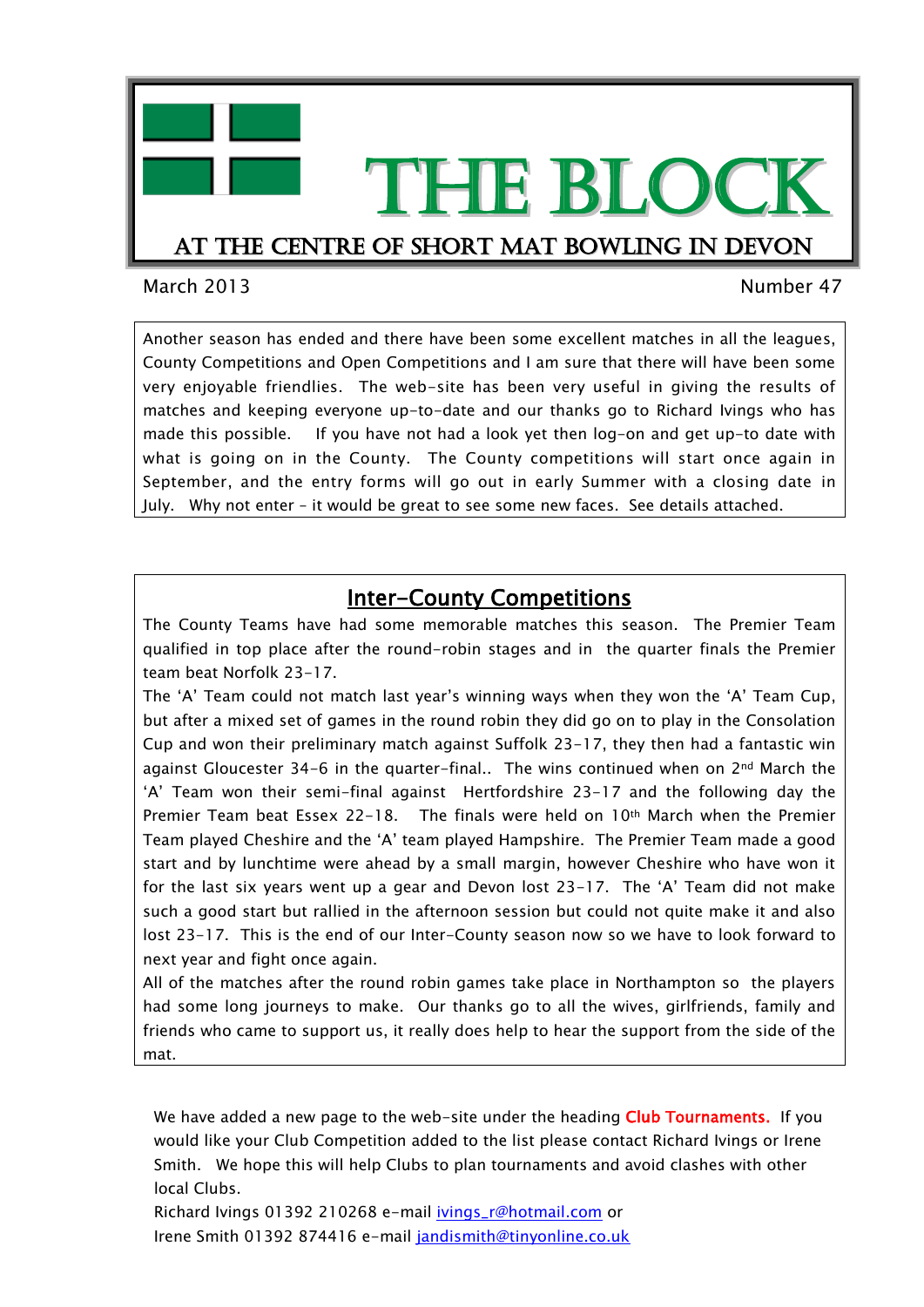

March 2013 Number 47

Another season has ended and there have been some excellent matches in all the leagues, County Competitions and Open Competitions and I am sure that there will have been some very enjoyable friendlies. The web-site has been very useful in giving the results of matches and keeping everyone up-to-date and our thanks go to Richard Ivings who has made this possible. If you have not had a look yet then log-on and get up-to date with what is going on in the County. The County competitions will start once again in September, and the entry forms will go out in early Summer with a closing date in July. Why not enter – it would be great to see some new faces. See details attached.

#### Inter-County Competitions

The County Teams have had some memorable matches this season. The Premier Team qualified in top place after the round-robin stages and in the quarter finals the Premier team beat Norfolk 23-17.

The 'A' Team could not match last year's winning ways when they won the 'A' Team Cup, but after a mixed set of games in the round robin they did go on to play in the Consolation Cup and won their preliminary match against Suffolk 23-17, they then had a fantastic win against Gloucester 34-6 in the quarter-final.. The wins continued when on  $2<sup>nd</sup>$  March the 'A' Team won their semi-final against Hertfordshire 23-17 and the following day the Premier Team beat Essex 22-18. The finals were held on 10th March when the Premier Team played Cheshire and the 'A' team played Hampshire. The Premier Team made a good start and by lunchtime were ahead by a small margin, however Cheshire who have won it for the last six years went up a gear and Devon lost  $23-17$ . The 'A' Team did not make such a good start but rallied in the afternoon session but could not quite make it and also lost 23-17. This is the end of our Inter-County season now so we have to look forward to next year and fight once again.

All of the matches after the round robin games take place in Northampton so the players had some long journeys to make. Our thanks go to all the wives, girlfriends, family and friends who came to support us, it really does help to hear the support from the side of the mat.

We have added a new page to the web-site under the heading Club Tournaments. If you would like your Club Competition added to the list please contact Richard Ivings or Irene Smith. We hope this will help Clubs to plan tournaments and avoid clashes with other local Clubs.

Richard Ivings 01392 210268 e-mail *ivings\_r@hotmail.com* or Irene Smith 01392 874416 e-mail [jandismith@tinyonline.co.uk](mailto:jandismith@tinyonline.co.uk)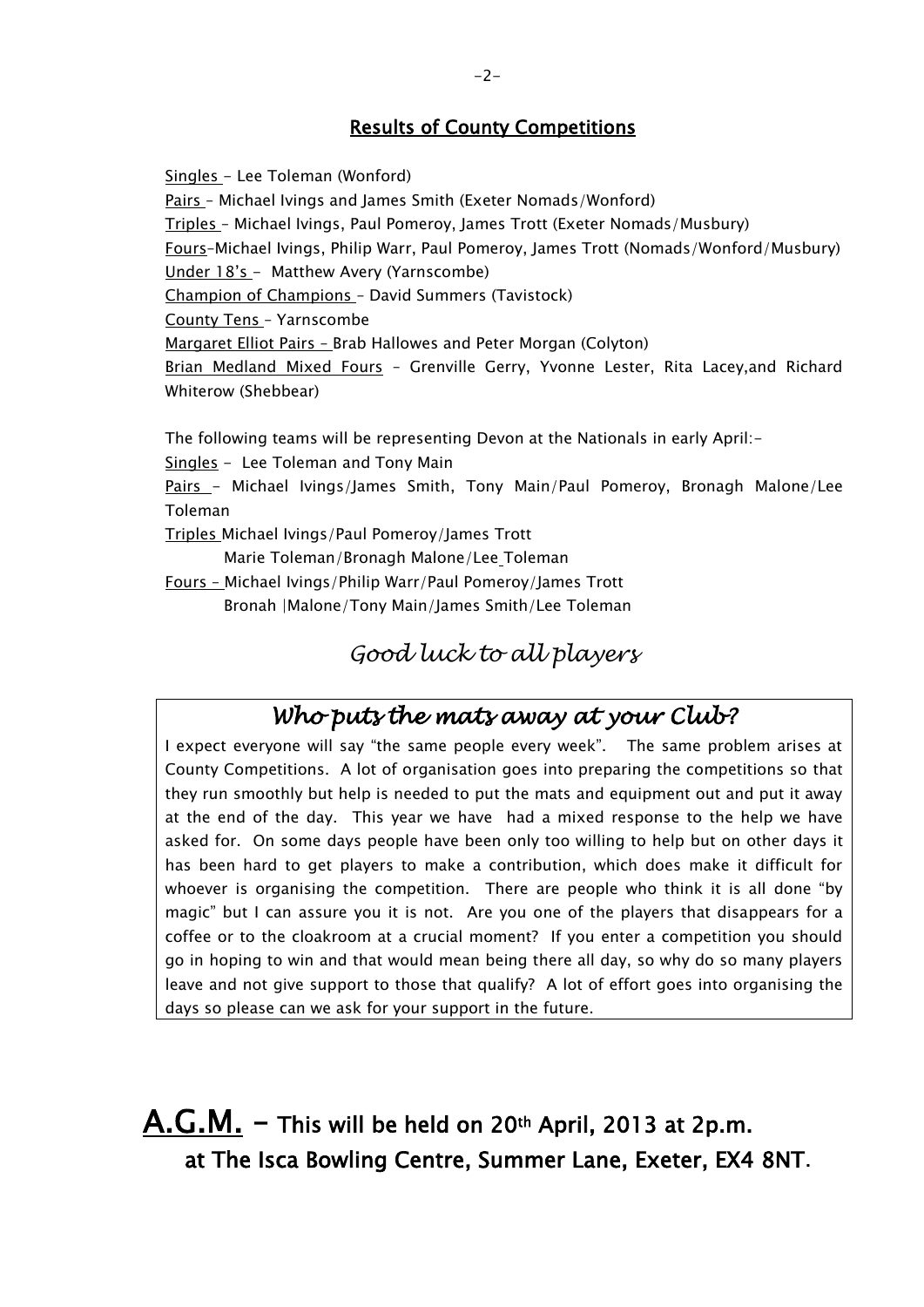#### Results of County Competitions

Singles - Lee Toleman (Wonford) Pairs – Michael Ivings and James Smith (Exeter Nomads/Wonford) Triples – Michael Ivings, Paul Pomeroy, James Trott (Exeter Nomads/Musbury) Fours–Michael Ivings, Philip Warr, Paul Pomeroy, James Trott (Nomads/Wonford/Musbury) Under 18's - Matthew Avery (Yarnscombe) Champion of Champions – David Summers (Tavistock) County Tens – Yarnscombe Margaret Elliot Pairs – Brab Hallowes and Peter Morgan (Colyton) Brian Medland Mixed Fours - Grenville Gerry, Yvonne Lester, Rita Lacey, and Richard Whiterow (Shebbear)

The following teams will be representing Devon at the Nationals in early April:-

Singles - Lee Toleman and Tony Main

Pairs - Michael Ivings/James Smith, Tony Main/Paul Pomeroy, Bronagh Malone/Lee Toleman

Triples Michael Ivings/Paul Pomeroy/James Trott

Marie Toleman/Bronagh Malone/Lee Toleman

Fours – Michael Ivings/Philip Warr/Paul Pomeroy/James Trott

Bronah |Malone/Tony Main/James Smith/Lee Toleman

### *Good luck to all players*

## *Who puts the mats away at your Club?*

I expect everyone will say "the same people every week". The same problem arises at County Competitions. A lot of organisation goes into preparing the competitions so that they run smoothly but help is needed to put the mats and equipment out and put it away at the end of the day. This year we have had a mixed response to the help we have asked for. On some days people have been only too willing to help but on other days it has been hard to get players to make a contribution, which does make it difficult for whoever is organising the competition. There are people who think it is all done "by magic" but I can assure you it is not. Are you one of the players that disappears for a coffee or to the cloakroom at a crucial moment? If you enter a competition you should go in hoping to win and that would mean being there all day, so why do so many players leave and not give support to those that qualify? A lot of effort goes into organising the days so please can we ask for your support in the future.

 $A.G.M.$  – This will be held on 20<sup>th</sup> April, 2013 at 2p.m. at The Isca Bowling Centre, Summer Lane, Exeter, EX4 8NT.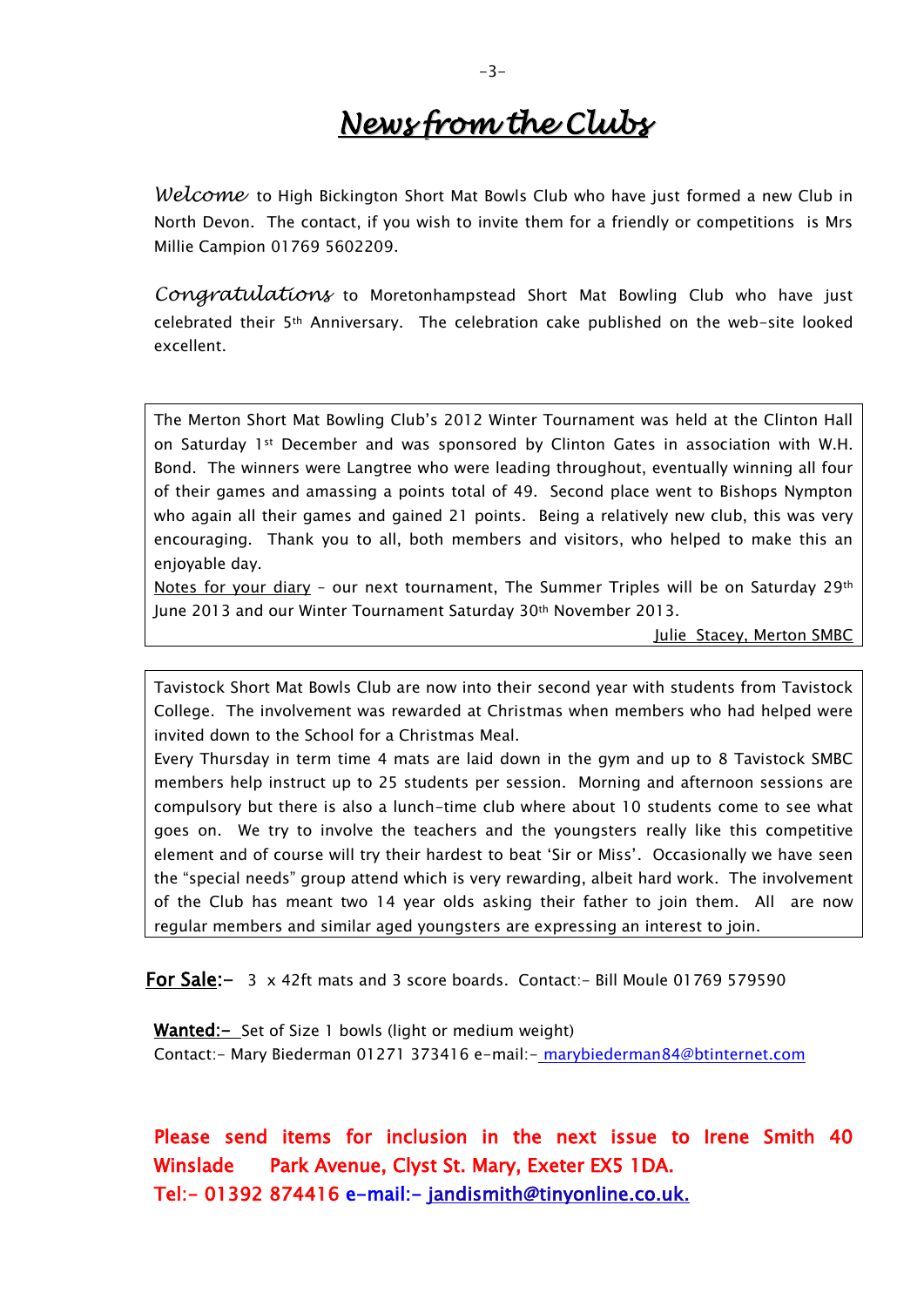## *News from the Clubs*

*Welcome* to High Bickington Short Mat Bowls Club who have just formed a new Club in North Devon. The contact, if you wish to invite them for a friendly or competitions is Mrs Millie Campion 01769 5602209.

*Congratulations* to Moretonhampstead Short Mat Bowling Club who have just celebrated their 5th Anniversary. The celebration cake published on the web-site looked excellent.

The Merton Short Mat Bowling Club's 2012 Winter Tournament was held at the Clinton Hall on Saturday 1st December and was sponsored by Clinton Gates in association with W.H. Bond. The winners were Langtree who were leading throughout, eventually winning all four of their games and amassing a points total of 49. Second place went to Bishops Nympton who again all their games and gained 21 points. Being a relatively new club, this was very encouraging. Thank you to all, both members and visitors, who helped to make this an enjoyable day.

Notes for your diary - our next tournament. The Summer Triples will be on Saturday 29th June 2013 and our Winter Tournament Saturday 30th November 2013.

Julie Stacey, Merton SMBC

Tavistock Short Mat Bowls Club are now into their second year with students from Tavistock College. The involvement was rewarded at Christmas when members who had helped were invited down to the School for a Christmas Meal.

Every Thursday in term time 4 mats are laid down in the gym and up to 8 Tavistock SMBC members help instruct up to 25 students per session. Morning and afternoon sessions are compulsory but there is also a lunch-time club where about 10 students come to see what goes on. We try to involve the teachers and the youngsters really like this competitive element and of course will try their hardest to beat 'Sir or Miss'. Occasionally we have seen the "special needs" group attend which is very rewarding, albeit hard work. The involvement of the Club has meant two 14 year olds asking their father to join them. All are now regular members and similar aged youngsters are expressing an interest to join.

For Sale:- 3 x 42ft mats and 3 score boards. Contact:- Bill Moule 01769 579590

Wanted: - Set of Size 1 bowls (light or medium weight) Contact:- Mary Biederman 01271 373416 e-mail:- [marybiederman84@btinternet.com](mailto:marybiederman84@btinternet.com)

Please send items for inclusion in the next issue to Irene Smith 40 Winslade Park Avenue, Clyst St. Mary, Exeter EX5 1DA. <Tel:->01392 874416 e-mail:- jandismith@tinyonline.co.uk.